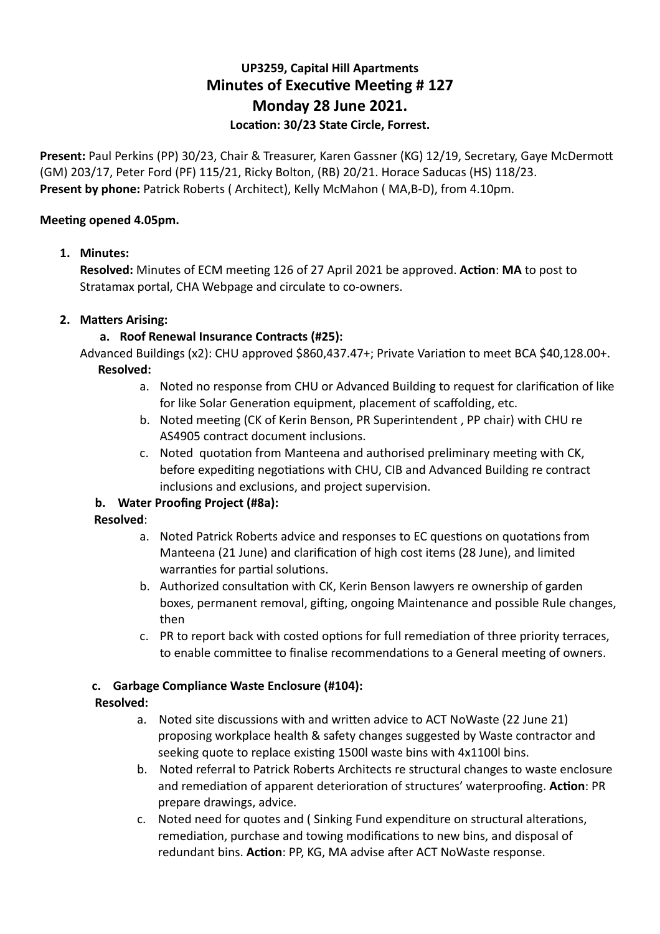# **UP3259, Capital Hill Apartments Minutes of Executive Meeting # 127 Monday 28 June 2021.**  Location: 30/23 State Circle, Forrest.

Present: Paul Perkins (PP) 30/23, Chair & Treasurer, Karen Gassner (KG) 12/19, Secretary, Gaye McDermott (GM) 203/17, Peter Ford (PF) 115/21, Ricky Bolton, (RB) 20/21. Horace Saducas (HS) 118/23. **Present by phone:** Patrick Roberts ( Architect), Kelly McMahon ( MA,B-D), from 4.10pm.

### **Meeting opened 4.05pm.**

### **1. Minutes:**

**Resolved:** Minutes of ECM meeting 126 of 27 April 2021 be approved. Action: MA to post to Stratamax portal, CHA Webpage and circulate to co-owners.

### **2.** Matters Arising:

### **a. Roof Renewal Insurance Contracts (#25):**

Advanced Buildings (x2): CHU approved \$860,437.47+; Private Variation to meet BCA \$40,128.00+. **Resolved:** 

- a. Noted no response from CHU or Advanced Building to request for clarification of like for like Solar Generation equipment, placement of scaffolding, etc.
- b. Noted meeting (CK of Kerin Benson, PR Superintendent, PP chair) with CHU re AS4905 contract document inclusions.
- c. Noted quotation from Manteena and authorised preliminary meeting with CK, before expediting negotiations with CHU, CIB and Advanced Building re contract inclusions and exclusions, and project supervision.

### **b. Water Proofing Project (#8a):**

### **Resolved**:

- a. Noted Patrick Roberts advice and responses to EC questions on quotations from Manteena (21 June) and clarification of high cost items (28 June), and limited warranties for partial solutions.
- b. Authorized consultation with CK, Kerin Benson lawyers re ownership of garden boxes, permanent removal, gifting, ongoing Maintenance and possible Rule changes, then
- c. PR to report back with costed options for full remediation of three priority terraces, to enable committee to finalise recommendations to a General meeting of owners.

### **c. Garbage Compliance Waste Enclosure (#104):**

### **Resolved:**

- a. Noted site discussions with and written advice to ACT NoWaste (22 June 21) proposing workplace health & safety changes suggested by Waste contractor and seeking quote to replace existing 1500l waste bins with 4x1100l bins.
- b. Noted referral to Patrick Roberts Architects re structural changes to waste enclosure and remediation of apparent deterioration of structures' waterproofing. Action: PR prepare drawings, advice.
- c. Noted need for quotes and (Sinking Fund expenditure on structural alterations, remediation, purchase and towing modifications to new bins, and disposal of redundant bins. Action: PP, KG, MA advise after ACT NoWaste response.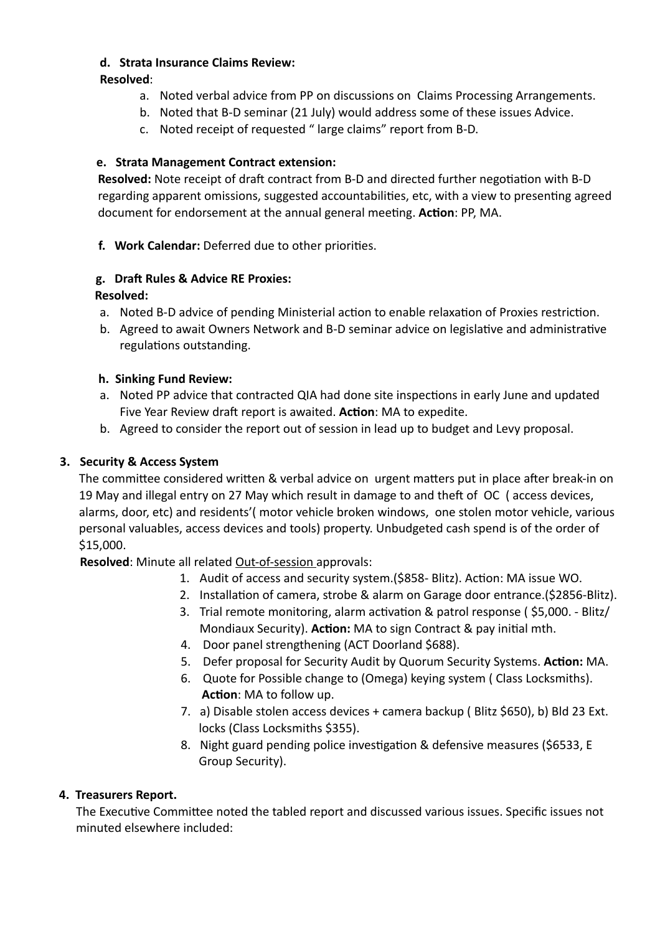### **d. Strata Insurance Claims Review:**

**Resolved**:

- a. Noted verbal advice from PP on discussions on Claims Processing Arrangements.
- b. Noted that B-D seminar (21 July) would address some of these issues Advice.
- c. Noted receipt of requested " large claims" report from B-D.

## **e. Strata Management Contract extension:**

**Resolved:** Note receipt of draft contract from B-D and directed further negotiation with B-D regarding apparent omissions, suggested accountabilities, etc, with a view to presenting agreed document for endorsement at the annual general meeting. Action: PP, MA.

**f.** Work Calendar: Deferred due to other priorities.

# **g.** Draft Rules & Advice RE Proxies:

## **Resolved:**

- a. Noted B-D advice of pending Ministerial action to enable relaxation of Proxies restriction.
- b. Agreed to await Owners Network and B-D seminar advice on legislative and administrative regulations outstanding.

## **h. Sinking Fund Review:**

- a. Noted PP advice that contracted QIA had done site inspections in early June and updated Five Year Review draft report is awaited. Action: MA to expedite.
- b. Agreed to consider the report out of session in lead up to budget and Levy proposal.

# **3. Security & Access System**

The committee considered written & verbal advice on urgent matters put in place after break-in on 19 May and illegal entry on 27 May which result in damage to and theft of OC (access devices, alarms, door, etc) and residents'( motor vehicle broken windows, one stolen motor vehicle, various personal valuables, access devices and tools) property. Unbudgeted cash spend is of the order of \$15,000.

**Resolved**: Minute all related Out-of-session approvals:

- 1. Audit of access and security system. (\$858- Blitz). Action: MA issue WO.
- 2. Installation of camera, strobe & alarm on Garage door entrance. (\$2856-Blitz).
- 3. Trial remote monitoring, alarm activation & patrol response (\$5,000. Blitz/ Mondiaux Security). **Action:** MA to sign Contract & pay initial mth.
- 4. Door panel strengthening (ACT Doorland \$688).
- 5. Defer proposal for Security Audit by Quorum Security Systems. **Action:** MA.
- 6. Quote for Possible change to (Omega) keying system ( Class Locksmiths). **Action:** MA to follow up.
- 7. a) Disable stolen access devices + camera backup ( Blitz \$650), b) Bld 23 Ext. locks (Class Locksmiths \$355).
- 8. Night guard pending police investigation & defensive measures (\$6533, E Group Security).

# **4. Treasurers Report.**

The Executive Committee noted the tabled report and discussed various issues. Specific issues not minuted elsewhere included: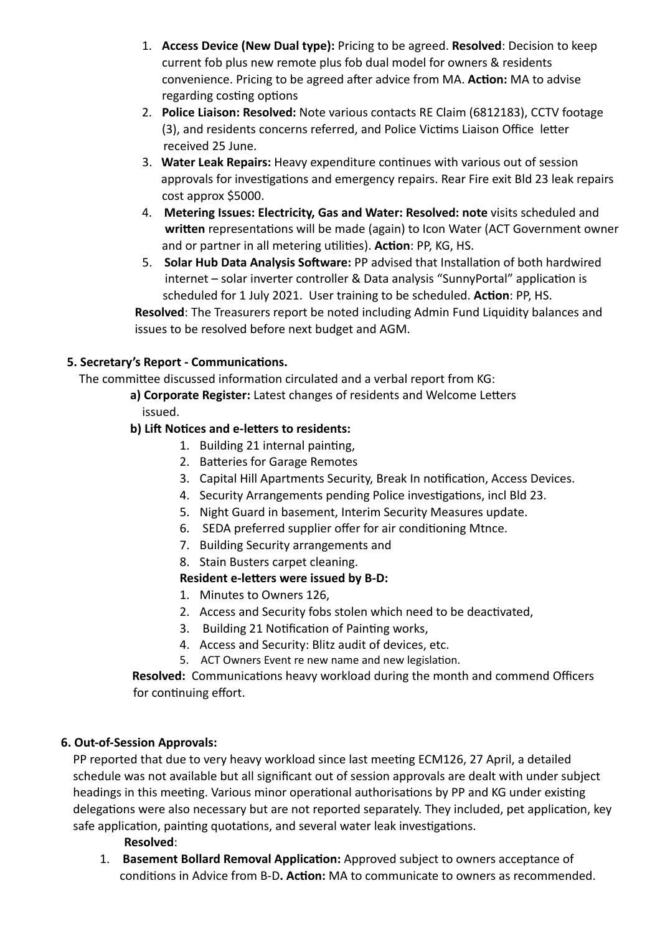- 1. **Access Device (New Dual type):** Pricing to be agreed. **Resolved**: Decision to keep current fob plus new remote plus fob dual model for owners & residents convenience. Pricing to be agreed after advice from MA. **Action:** MA to advise regarding costing options
- 2. **Police Liaison: Resolved:** Note various contacts RE Claim (6812183), CCTV footage (3), and residents concerns referred, and Police Victims Liaison Office letter received 25 June.
- 3. Water Leak Repairs: Heavy expenditure continues with various out of session approvals for investigations and emergency repairs. Rear Fire exit Bld 23 leak repairs cost approx \$5000.
- 4. **Metering Issues: Electricity, Gas and Water: Resolved: note** visits scheduled and **written** representations will be made (again) to Icon Water (ACT Government owner and or partner in all metering utilities). **Action**: PP, KG, HS.
- 5. **Solar Hub Data Analysis Software:** PP advised that Installation of both hardwired internet – solar inverter controller & Data analysis "SunnyPortal" application is scheduled for 1 July 2021. User training to be scheduled. Action: PP, HS. **Resolved**: The Treasurers report be noted including Admin Fund Liquidity balances and

issues to be resolved before next budget and AGM.

### **5. Secretary's Report - Communications.**

The committee discussed information circulated and a verbal report from KG:

- a) Corporate Register: Latest changes of residents and Welcome Letters issued.
- **b) Lift Notices and e-letters to residents:** 
	- 1. Building 21 internal painting,
	- 2. Batteries for Garage Remotes
	- 3. Capital Hill Apartments Security, Break In notification, Access Devices.
	- 4. Security Arrangements pending Police investigations, incl Bld 23.
	- 5. Night Guard in basement, Interim Security Measures update.
	- 6. SEDA preferred supplier offer for air conditioning Mtnce.
	- 7. Building Security arrangements and
	- 8. Stain Busters carpet cleaning.

### **Resident e-letters were issued by B-D:**

- 1. Minutes to Owners 126,
- 2. Access and Security fobs stolen which need to be deactivated,
- 3. Building 21 Notification of Painting works,
- 4. Access and Security: Blitz audit of devices, etc.
- 5. ACT Owners Event re new name and new legislation.

**Resolved:** Communications heavy workload during the month and commend Officers for continuing effort.

### **6. Out-of-Session Approvals:**

**PP reported that due to very heavy workload since last meeting ECM126, 27 April, a detailed**  schedule was not available but all significant out of session approvals are dealt with under subject headings in this meeting. Various minor operational authorisations by PP and KG under existing delegations were also necessary but are not reported separately. They included, pet application, key safe application, painting quotations, and several water leak investigations.

### **Resolved**:

1. **Basement Bollard Removal Application:** Approved subject to owners acceptance of conditions in Advice from B-D. **Action:** MA to communicate to owners as recommended.